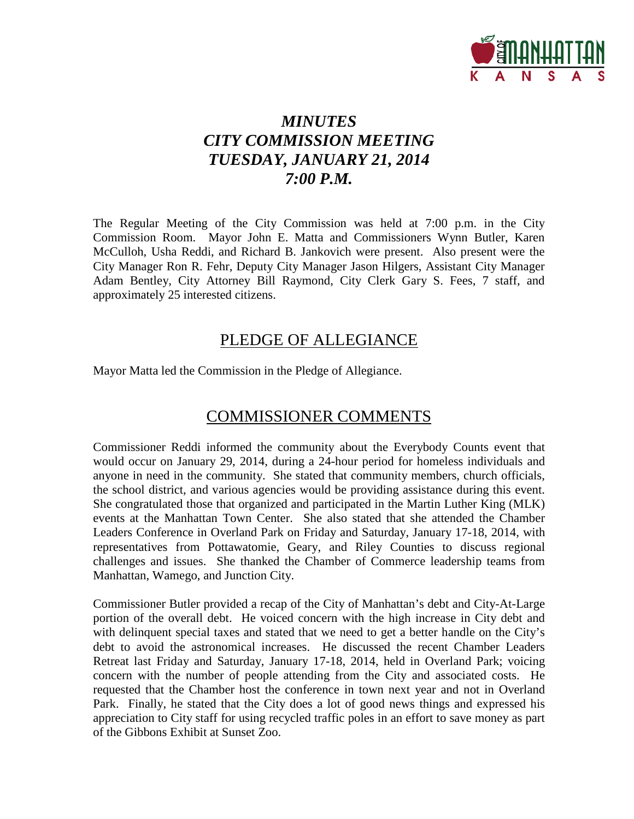

# *MINUTES CITY COMMISSION MEETING TUESDAY, JANUARY 21, 2014 7:00 P.M.*

The Regular Meeting of the City Commission was held at 7:00 p.m. in the City Commission Room. Mayor John E. Matta and Commissioners Wynn Butler, Karen McCulloh, Usha Reddi, and Richard B. Jankovich were present. Also present were the City Manager Ron R. Fehr, Deputy City Manager Jason Hilgers, Assistant City Manager Adam Bentley, City Attorney Bill Raymond, City Clerk Gary S. Fees, 7 staff, and approximately 25 interested citizens.

## PLEDGE OF ALLEGIANCE

Mayor Matta led the Commission in the Pledge of Allegiance.

## COMMISSIONER COMMENTS

Commissioner Reddi informed the community about the Everybody Counts event that would occur on January 29, 2014, during a 24-hour period for homeless individuals and anyone in need in the community. She stated that community members, church officials, the school district, and various agencies would be providing assistance during this event. She congratulated those that organized and participated in the Martin Luther King (MLK) events at the Manhattan Town Center. She also stated that she attended the Chamber Leaders Conference in Overland Park on Friday and Saturday, January 17-18, 2014, with representatives from Pottawatomie, Geary, and Riley Counties to discuss regional challenges and issues. She thanked the Chamber of Commerce leadership teams from Manhattan, Wamego, and Junction City.

Commissioner Butler provided a recap of the City of Manhattan's debt and City-At-Large portion of the overall debt. He voiced concern with the high increase in City debt and with delinquent special taxes and stated that we need to get a better handle on the City's debt to avoid the astronomical increases. He discussed the recent Chamber Leaders Retreat last Friday and Saturday, January 17-18, 2014, held in Overland Park; voicing concern with the number of people attending from the City and associated costs. He requested that the Chamber host the conference in town next year and not in Overland Park. Finally, he stated that the City does a lot of good news things and expressed his appreciation to City staff for using recycled traffic poles in an effort to save money as part of the Gibbons Exhibit at Sunset Zoo.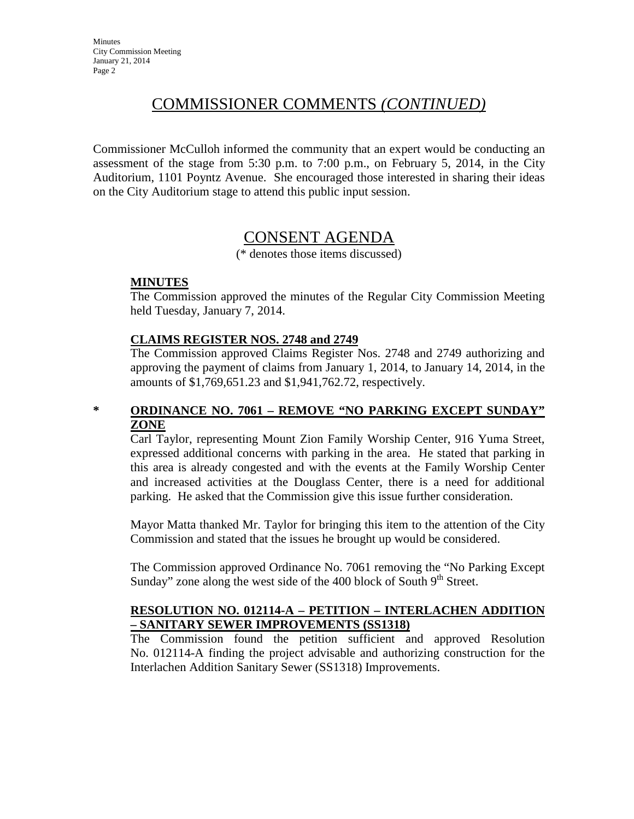# COMMISSIONER COMMENTS *(CONTINUED)*

Commissioner McCulloh informed the community that an expert would be conducting an assessment of the stage from 5:30 p.m. to 7:00 p.m., on February 5, 2014, in the City Auditorium, 1101 Poyntz Avenue. She encouraged those interested in sharing their ideas on the City Auditorium stage to attend this public input session.

# CONSENT AGENDA

(\* denotes those items discussed)

### **MINUTES**

The Commission approved the minutes of the Regular City Commission Meeting held Tuesday, January 7, 2014.

#### **CLAIMS REGISTER NOS. 2748 and 2749**

The Commission approved Claims Register Nos. 2748 and 2749 authorizing and approving the payment of claims from January 1, 2014, to January 14, 2014, in the amounts of \$1,769,651.23 and \$1,941,762.72, respectively.

### **\* ORDINANCE NO. 7061 – REMOVE "NO PARKING EXCEPT SUNDAY" ZONE**

Carl Taylor, representing Mount Zion Family Worship Center, 916 Yuma Street, expressed additional concerns with parking in the area. He stated that parking in this area is already congested and with the events at the Family Worship Center and increased activities at the Douglass Center, there is a need for additional parking. He asked that the Commission give this issue further consideration.

Mayor Matta thanked Mr. Taylor for bringing this item to the attention of the City Commission and stated that the issues he brought up would be considered.

The Commission approved Ordinance No. 7061 removing the "No Parking Except Sunday" zone along the west side of the 400 block of South  $9<sup>th</sup>$  Street.

### **RESOLUTION NO. 012114-A – PETITION – INTERLACHEN ADDITION – SANITARY SEWER IMPROVEMENTS (SS1318)**

The Commission found the petition sufficient and approved Resolution No. 012114-A finding the project advisable and authorizing construction for the Interlachen Addition Sanitary Sewer (SS1318) Improvements.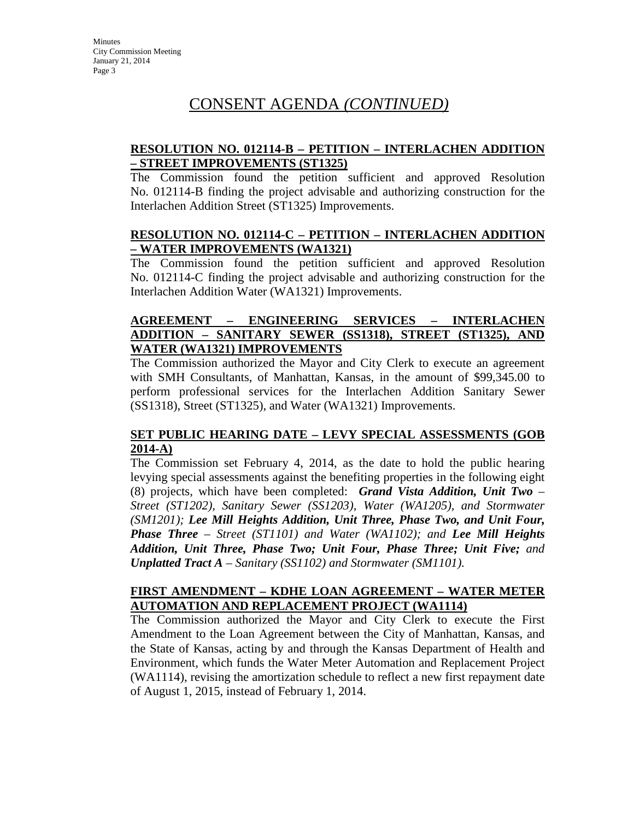### **RESOLUTION NO. 012114-B – PETITION – INTERLACHEN ADDITION – STREET IMPROVEMENTS (ST1325)**

The Commission found the petition sufficient and approved Resolution No. 012114-B finding the project advisable and authorizing construction for the Interlachen Addition Street (ST1325) Improvements.

#### **RESOLUTION NO. 012114-C – PETITION – INTERLACHEN ADDITION – WATER IMPROVEMENTS (WA1321)**

The Commission found the petition sufficient and approved Resolution No. 012114-C finding the project advisable and authorizing construction for the Interlachen Addition Water (WA1321) Improvements.

### **AGREEMENT – ENGINEERING SERVICES – INTERLACHEN ADDITION – SANITARY SEWER (SS1318), STREET (ST1325), AND WATER (WA1321) IMPROVEMENTS**

The Commission authorized the Mayor and City Clerk to execute an agreement with SMH Consultants, of Manhattan, Kansas, in the amount of \$99,345.00 to perform professional services for the Interlachen Addition Sanitary Sewer (SS1318), Street (ST1325), and Water (WA1321) Improvements.

### **SET PUBLIC HEARING DATE – LEVY SPECIAL ASSESSMENTS (GOB 2014-A)**

The Commission set February 4, 2014, as the date to hold the public hearing levying special assessments against the benefiting properties in the following eight (8) projects, which have been completed: *Grand Vista Addition, Unit Two – Street (ST1202), Sanitary Sewer (SS1203), Water (WA1205), and Stormwater (SM1201); Lee Mill Heights Addition, Unit Three, Phase Two, and Unit Four, Phase Three – Street (ST1101) and Water (WA1102); and Lee Mill Heights Addition, Unit Three, Phase Two; Unit Four, Phase Three; Unit Five; and Unplatted Tract A – Sanitary (SS1102) and Stormwater (SM1101).*

#### **FIRST AMENDMENT – KDHE LOAN AGREEMENT – WATER METER AUTOMATION AND REPLACEMENT PROJECT (WA1114)**

The Commission authorized the Mayor and City Clerk to execute the First Amendment to the Loan Agreement between the City of Manhattan, Kansas, and the State of Kansas, acting by and through the Kansas Department of Health and Environment, which funds the Water Meter Automation and Replacement Project (WA1114), revising the amortization schedule to reflect a new first repayment date of August 1, 2015, instead of February 1, 2014.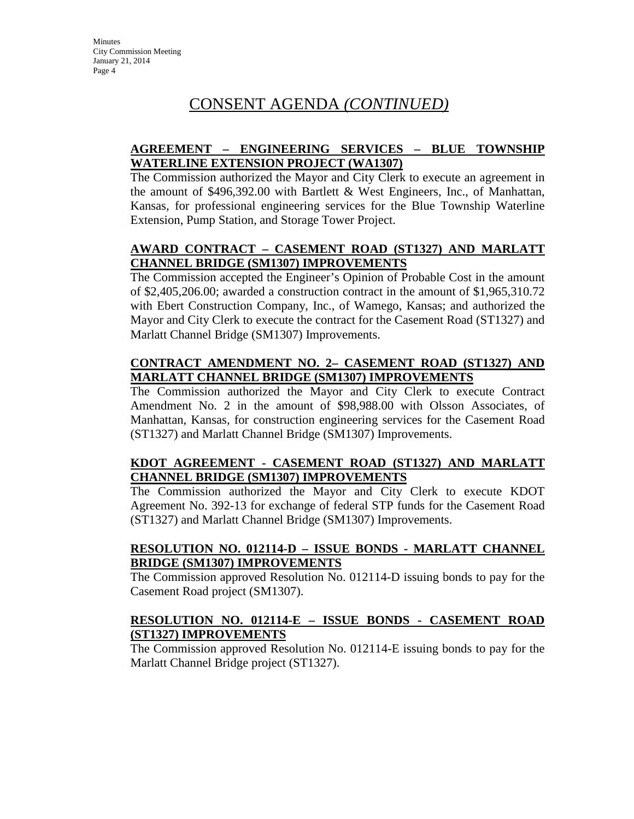### **AGREEMENT – ENGINEERING SERVICES – BLUE TOWNSHIP WATERLINE EXTENSION PROJECT (WA1307)**

The Commission authorized the Mayor and City Clerk to execute an agreement in the amount of \$496,392.00 with Bartlett & West Engineers, Inc., of Manhattan, Kansas, for professional engineering services for the Blue Township Waterline Extension, Pump Station, and Storage Tower Project.

### **AWARD CONTRACT – CASEMENT ROAD (ST1327) AND MARLATT CHANNEL BRIDGE (SM1307) IMPROVEMENTS**

The Commission accepted the Engineer's Opinion of Probable Cost in the amount of \$2,405,206.00; awarded a construction contract in the amount of \$1,965,310.72 with Ebert Construction Company, Inc., of Wamego, Kansas; and authorized the Mayor and City Clerk to execute the contract for the Casement Road (ST1327) and Marlatt Channel Bridge (SM1307) Improvements.

### **CONTRACT AMENDMENT NO. 2– CASEMENT ROAD (ST1327) AND MARLATT CHANNEL BRIDGE (SM1307) IMPROVEMENTS**

The Commission authorized the Mayor and City Clerk to execute Contract Amendment No. 2 in the amount of \$98,988.00 with Olsson Associates, of Manhattan, Kansas, for construction engineering services for the Casement Road (ST1327) and Marlatt Channel Bridge (SM1307) Improvements.

### **KDOT AGREEMENT - CASEMENT ROAD (ST1327) AND MARLATT CHANNEL BRIDGE (SM1307) IMPROVEMENTS**

The Commission authorized the Mayor and City Clerk to execute KDOT Agreement No. 392-13 for exchange of federal STP funds for the Casement Road (ST1327) and Marlatt Channel Bridge (SM1307) Improvements.

### **RESOLUTION NO. 012114-D – ISSUE BONDS - MARLATT CHANNEL BRIDGE (SM1307) IMPROVEMENTS**

The Commission approved Resolution No. 012114-D issuing bonds to pay for the Casement Road project (SM1307).

### **RESOLUTION NO. 012114-E – ISSUE BONDS - CASEMENT ROAD (ST1327) IMPROVEMENTS**

The Commission approved Resolution No. 012114-E issuing bonds to pay for the Marlatt Channel Bridge project (ST1327).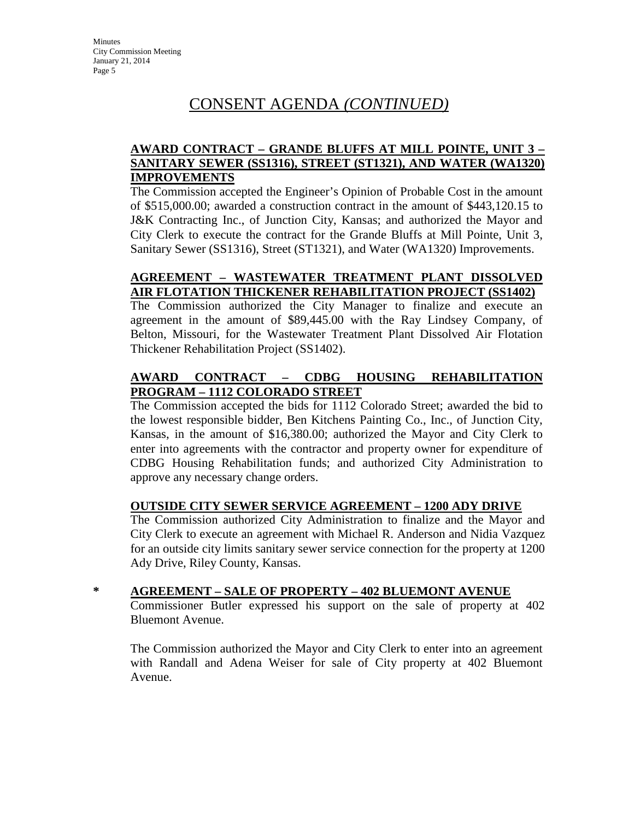### **AWARD CONTRACT – GRANDE BLUFFS AT MILL POINTE, UNIT 3 – SANITARY SEWER (SS1316), STREET (ST1321), AND WATER (WA1320) IMPROVEMENTS**

The Commission accepted the Engineer's Opinion of Probable Cost in the amount of \$515,000.00; awarded a construction contract in the amount of \$443,120.15 to J&K Contracting Inc., of Junction City, Kansas; and authorized the Mayor and City Clerk to execute the contract for the Grande Bluffs at Mill Pointe, Unit 3, Sanitary Sewer (SS1316), Street (ST1321), and Water (WA1320) Improvements.

### **AGREEMENT – WASTEWATER TREATMENT PLANT DISSOLVED AIR FLOTATION THICKENER REHABILITATION PROJECT (SS1402)**

The Commission authorized the City Manager to finalize and execute an agreement in the amount of \$89,445.00 with the Ray Lindsey Company, of Belton, Missouri, for the Wastewater Treatment Plant Dissolved Air Flotation Thickener Rehabilitation Project (SS1402).

### **AWARD CONTRACT – CDBG HOUSING REHABILITATION PROGRAM – 1112 COLORADO STREET**

The Commission accepted the bids for 1112 Colorado Street; awarded the bid to the lowest responsible bidder, Ben Kitchens Painting Co., Inc., of Junction City, Kansas, in the amount of \$16,380.00; authorized the Mayor and City Clerk to enter into agreements with the contractor and property owner for expenditure of CDBG Housing Rehabilitation funds; and authorized City Administration to approve any necessary change orders.

### **OUTSIDE CITY SEWER SERVICE AGREEMENT – 1200 ADY DRIVE**

The Commission authorized City Administration to finalize and the Mayor and City Clerk to execute an agreement with Michael R. Anderson and Nidia Vazquez for an outside city limits sanitary sewer service connection for the property at 1200 Ady Drive, Riley County, Kansas.

#### **\* AGREEMENT – SALE OF PROPERTY – 402 BLUEMONT AVENUE**

Commissioner Butler expressed his support on the sale of property at 402 Bluemont Avenue.

The Commission authorized the Mayor and City Clerk to enter into an agreement with Randall and Adena Weiser for sale of City property at 402 Bluemont Avenue.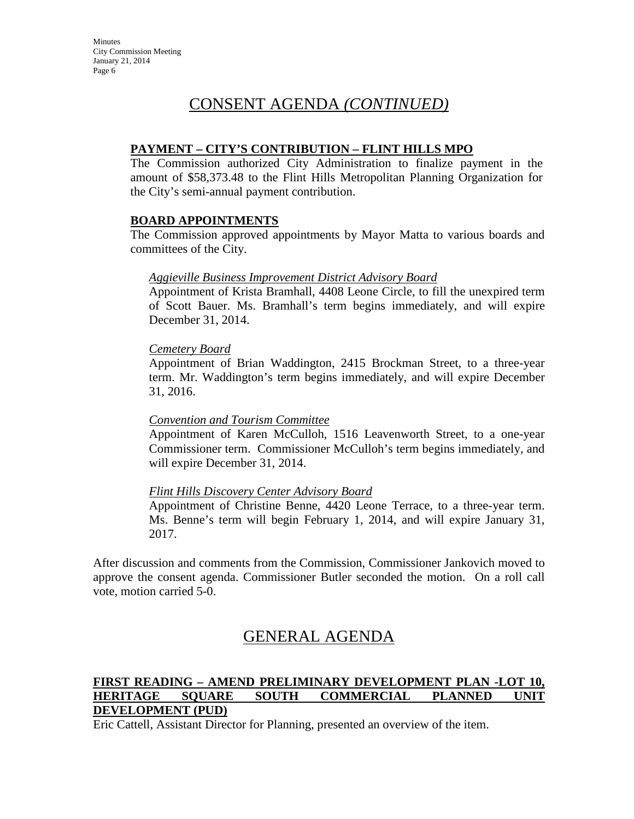#### **PAYMENT – CITY'S CONTRIBUTION – FLINT HILLS MPO**

The Commission authorized City Administration to finalize payment in the amount of \$58,373.48 to the Flint Hills Metropolitan Planning Organization for the City's semi-annual payment contribution.

#### **BOARD APPOINTMENTS**

The Commission approved appointments by Mayor Matta to various boards and committees of the City.

#### *Aggieville Business Improvement District Advisory Board*

Appointment of Krista Bramhall, 4408 Leone Circle, to fill the unexpired term of Scott Bauer. Ms. Bramhall's term begins immediately, and will expire December 31, 2014.

#### *Cemetery Board*

Appointment of Brian Waddington, 2415 Brockman Street, to a three-year term. Mr. Waddington's term begins immediately, and will expire December 31, 2016.

#### *Convention and Tourism Committee*

Appointment of Karen McCulloh, 1516 Leavenworth Street, to a one-year Commissioner term. Commissioner McCulloh's term begins immediately, and will expire December 31, 2014.

#### *Flint Hills Discovery Center Advisory Board*

Appointment of Christine Benne, 4420 Leone Terrace, to a three-year term. Ms. Benne's term will begin February 1, 2014, and will expire January 31, 2017.

After discussion and comments from the Commission, Commissioner Jankovich moved to approve the consent agenda. Commissioner Butler seconded the motion. On a roll call vote, motion carried 5-0.

# GENERAL AGENDA

### **FIRST READING – AMEND PRELIMINARY DEVELOPMENT PLAN -LOT 10, HERITAGE SQUARE SOUTH COMMERCIAL PLANNED UNIT DEVELOPMENT (PUD)**

Eric Cattell, Assistant Director for Planning, presented an overview of the item.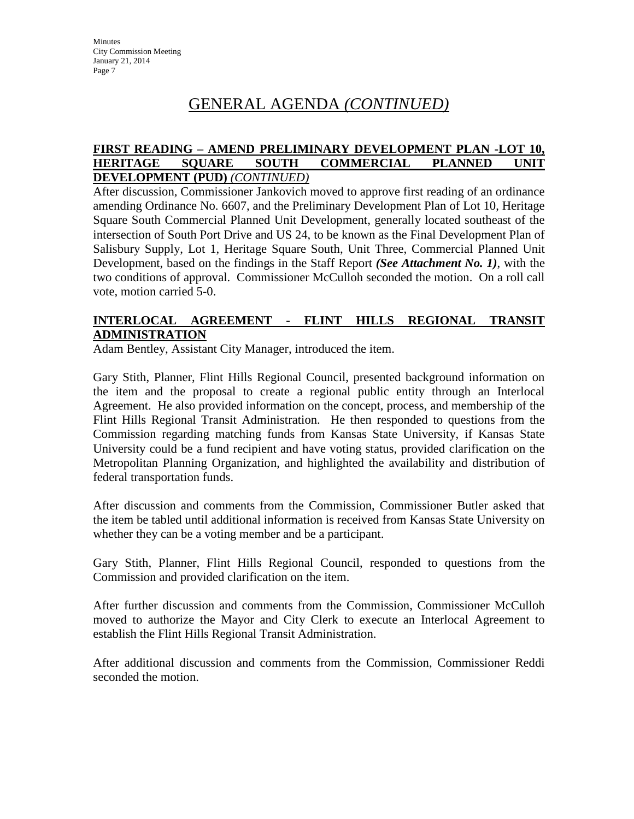# GENERAL AGENDA *(CONTINUED)*

#### **FIRST READING – AMEND PRELIMINARY DEVELOPMENT PLAN -LOT 10, HERITAGE SQUARE SOUTH COMMERCIAL PLANNED UNIT DEVELOPMENT (PUD)** *(CONTINUED)*

After discussion, Commissioner Jankovich moved to approve first reading of an ordinance amending Ordinance No. 6607, and the Preliminary Development Plan of Lot 10, Heritage Square South Commercial Planned Unit Development, generally located southeast of the intersection of South Port Drive and US 24, to be known as the Final Development Plan of Salisbury Supply, Lot 1, Heritage Square South, Unit Three, Commercial Planned Unit Development, based on the findings in the Staff Report *(See Attachment No. 1)*, with the two conditions of approval. Commissioner McCulloh seconded the motion. On a roll call vote, motion carried 5-0.

### **INTERLOCAL AGREEMENT - FLINT HILLS REGIONAL TRANSIT ADMINISTRATION**

Adam Bentley, Assistant City Manager, introduced the item.

Gary Stith, Planner, Flint Hills Regional Council, presented background information on the item and the proposal to create a regional public entity through an Interlocal Agreement. He also provided information on the concept, process, and membership of the Flint Hills Regional Transit Administration. He then responded to questions from the Commission regarding matching funds from Kansas State University, if Kansas State University could be a fund recipient and have voting status, provided clarification on the Metropolitan Planning Organization, and highlighted the availability and distribution of federal transportation funds.

After discussion and comments from the Commission, Commissioner Butler asked that the item be tabled until additional information is received from Kansas State University on whether they can be a voting member and be a participant.

Gary Stith, Planner, Flint Hills Regional Council, responded to questions from the Commission and provided clarification on the item.

After further discussion and comments from the Commission, Commissioner McCulloh moved to authorize the Mayor and City Clerk to execute an Interlocal Agreement to establish the Flint Hills Regional Transit Administration.

After additional discussion and comments from the Commission, Commissioner Reddi seconded the motion.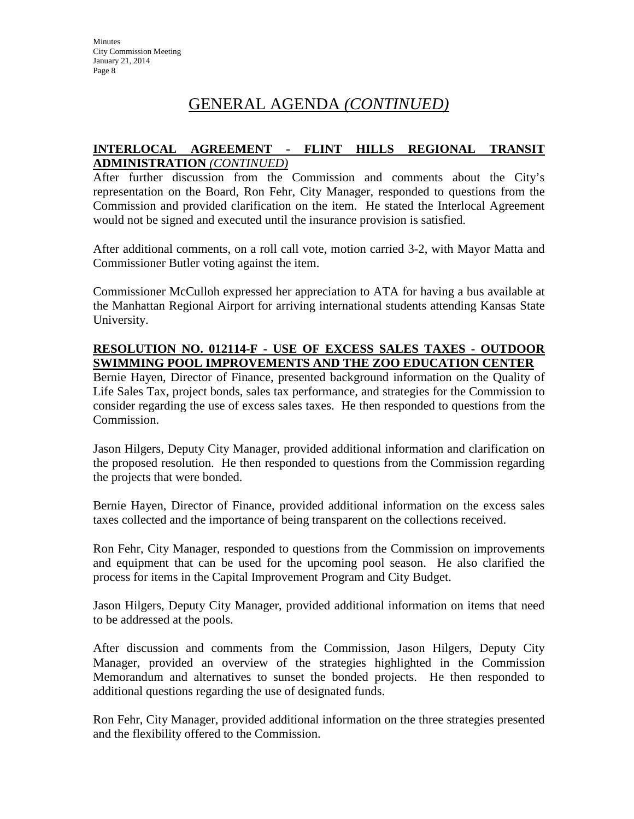# GENERAL AGENDA *(CONTINUED)*

#### **INTERLOCAL AGREEMENT - FLINT HILLS REGIONAL TRANSIT ADMINISTRATION** *(CONTINUED)*

After further discussion from the Commission and comments about the City's representation on the Board, Ron Fehr, City Manager, responded to questions from the Commission and provided clarification on the item. He stated the Interlocal Agreement would not be signed and executed until the insurance provision is satisfied.

After additional comments, on a roll call vote, motion carried 3-2, with Mayor Matta and Commissioner Butler voting against the item.

Commissioner McCulloh expressed her appreciation to ATA for having a bus available at the Manhattan Regional Airport for arriving international students attending Kansas State University.

### **RESOLUTION NO. 012114-F - USE OF EXCESS SALES TAXES - OUTDOOR SWIMMING POOL IMPROVEMENTS AND THE ZOO EDUCATION CENTER**

Bernie Hayen, Director of Finance, presented background information on the Quality of Life Sales Tax, project bonds, sales tax performance, and strategies for the Commission to consider regarding the use of excess sales taxes. He then responded to questions from the Commission.

Jason Hilgers, Deputy City Manager, provided additional information and clarification on the proposed resolution. He then responded to questions from the Commission regarding the projects that were bonded.

Bernie Hayen, Director of Finance, provided additional information on the excess sales taxes collected and the importance of being transparent on the collections received.

Ron Fehr, City Manager, responded to questions from the Commission on improvements and equipment that can be used for the upcoming pool season. He also clarified the process for items in the Capital Improvement Program and City Budget.

Jason Hilgers, Deputy City Manager, provided additional information on items that need to be addressed at the pools.

After discussion and comments from the Commission, Jason Hilgers, Deputy City Manager, provided an overview of the strategies highlighted in the Commission Memorandum and alternatives to sunset the bonded projects. He then responded to additional questions regarding the use of designated funds.

Ron Fehr, City Manager, provided additional information on the three strategies presented and the flexibility offered to the Commission.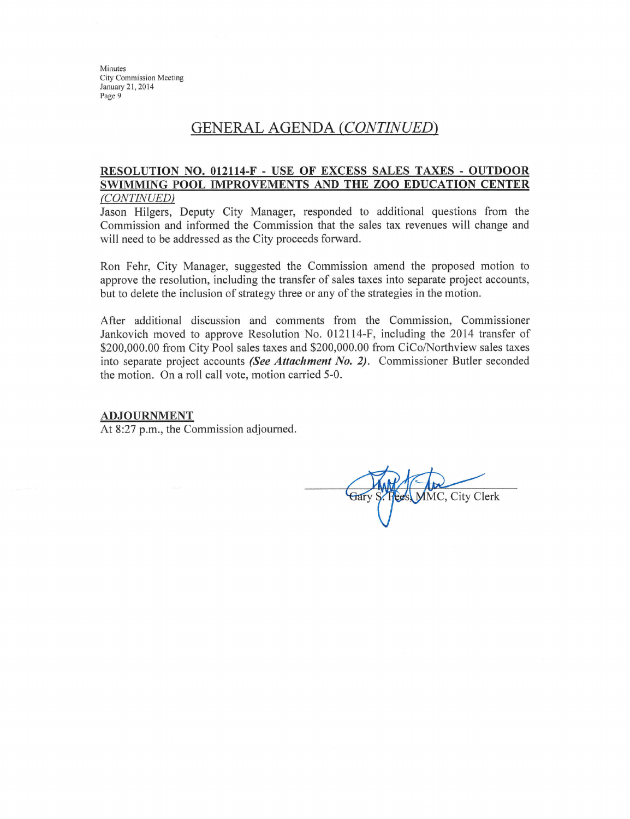### **GENERAL AGENDA (CONTINUED)**

#### RESOLUTION NO. 012114-F - USE OF EXCESS SALES TAXES - OUTDOOR SWIMMING POOL IMPROVEMENTS AND THE ZOO EDUCATION CENTER (CONTINUED)

Jason Hilgers, Deputy City Manager, responded to additional questions from the Commission and informed the Commission that the sales tax revenues will change and will need to be addressed as the City proceeds forward.

Ron Fehr, City Manager, suggested the Commission amend the proposed motion to approve the resolution, including the transfer of sales taxes into separate project accounts, but to delete the inclusion of strategy three or any of the strategies in the motion.

After additional discussion and comments from the Commission, Commissioner Jankovich moved to approve Resolution No. 012114-F, including the 2014 transfer of \$200,000.00 from City Pool sales taxes and \$200,000.00 from CiCo/Northview sales taxes into separate project accounts (See Attachment No. 2). Commissioner Butler seconded the motion. On a roll call vote, motion carried 5-0.

#### **ADJOURNMENT**

At 8:27 p.m., the Commission adjourned.

**IMC. City Clerk**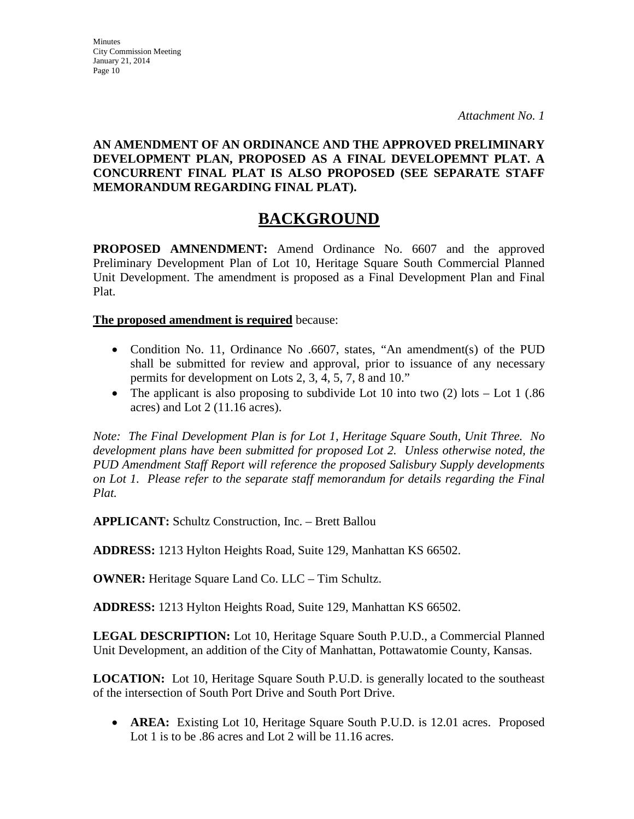**AN AMENDMENT OF AN ORDINANCE AND THE APPROVED PRELIMINARY DEVELOPMENT PLAN, PROPOSED AS A FINAL DEVELOPEMNT PLAT. A CONCURRENT FINAL PLAT IS ALSO PROPOSED (SEE SEPARATE STAFF** 

# **BACKGROUND**

**PROPOSED AMNENDMENT:** Amend Ordinance No. 6607 and the approved Preliminary Development Plan of Lot 10, Heritage Square South Commercial Planned Unit Development. The amendment is proposed as a Final Development Plan and Final Plat.

**The proposed amendment is required** because:

**MEMORANDUM REGARDING FINAL PLAT).**

- Condition No. 11, Ordinance No .6607, states, "An amendment(s) of the PUD shall be submitted for review and approval, prior to issuance of any necessary permits for development on Lots 2, 3, 4, 5, 7, 8 and 10."
- The applicant is also proposing to subdivide Lot 10 into two  $(2)$  lots Lot 1 (.86) acres) and Lot 2 (11.16 acres).

*Note: The Final Development Plan is for Lot 1, Heritage Square South, Unit Three. No development plans have been submitted for proposed Lot 2. Unless otherwise noted, the PUD Amendment Staff Report will reference the proposed Salisbury Supply developments on Lot 1. Please refer to the separate staff memorandum for details regarding the Final Plat.*

**APPLICANT:** Schultz Construction, Inc. – Brett Ballou

**ADDRESS:** 1213 Hylton Heights Road, Suite 129, Manhattan KS 66502.

**OWNER:** Heritage Square Land Co. LLC – Tim Schultz.

**ADDRESS:** 1213 Hylton Heights Road, Suite 129, Manhattan KS 66502.

**LEGAL DESCRIPTION:** Lot 10, Heritage Square South P.U.D., a Commercial Planned Unit Development, an addition of the City of Manhattan, Pottawatomie County, Kansas.

**LOCATION:** Lot 10, Heritage Square South P.U.D. is generally located to the southeast of the intersection of South Port Drive and South Port Drive.

• **AREA:** Existing Lot 10, Heritage Square South P.U.D. is 12.01 acres. Proposed Lot 1 is to be .86 acres and Lot 2 will be 11.16 acres.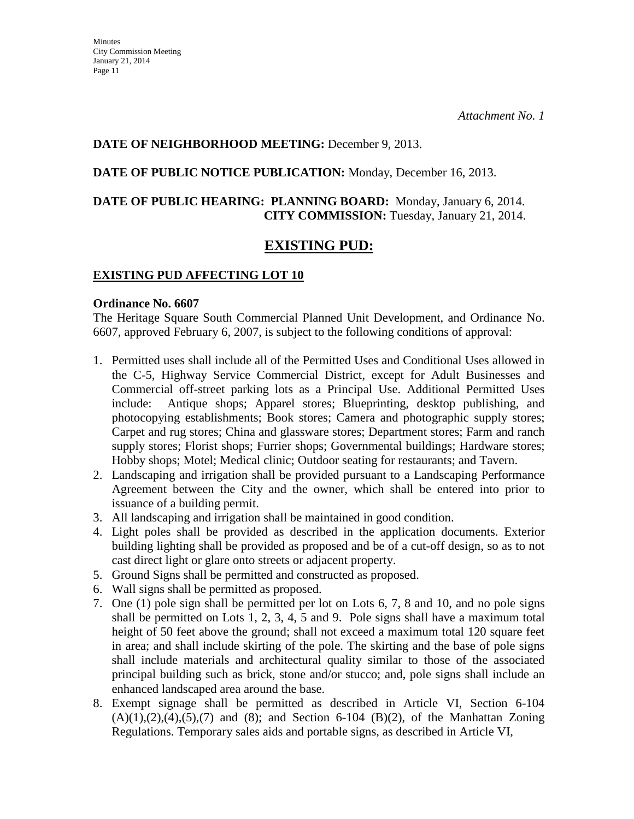### **DATE OF NEIGHBORHOOD MEETING:** December 9, 2013.

**DATE OF PUBLIC NOTICE PUBLICATION:** Monday, December 16, 2013.

### **DATE OF PUBLIC HEARING: PLANNING BOARD:** Monday, January 6, 2014. **CITY COMMISSION:** Tuesday, January 21, 2014.

### **EXISTING PUD:**

### **EXISTING PUD AFFECTING LOT 10**

#### **Ordinance No. 6607**

The Heritage Square South Commercial Planned Unit Development, and Ordinance No. 6607, approved February 6, 2007, is subject to the following conditions of approval:

- 1. Permitted uses shall include all of the Permitted Uses and Conditional Uses allowed in the C-5, Highway Service Commercial District, except for Adult Businesses and Commercial off-street parking lots as a Principal Use. Additional Permitted Uses include: Antique shops; Apparel stores; Blueprinting, desktop publishing, and photocopying establishments; Book stores; Camera and photographic supply stores; Carpet and rug stores; China and glassware stores; Department stores; Farm and ranch supply stores; Florist shops; Furrier shops; Governmental buildings; Hardware stores; Hobby shops; Motel; Medical clinic; Outdoor seating for restaurants; and Tavern.
- 2. Landscaping and irrigation shall be provided pursuant to a Landscaping Performance Agreement between the City and the owner, which shall be entered into prior to issuance of a building permit.
- 3. All landscaping and irrigation shall be maintained in good condition.
- 4. Light poles shall be provided as described in the application documents. Exterior building lighting shall be provided as proposed and be of a cut-off design, so as to not cast direct light or glare onto streets or adjacent property.
- 5. Ground Signs shall be permitted and constructed as proposed.
- 6. Wall signs shall be permitted as proposed.
- 7. One (1) pole sign shall be permitted per lot on Lots 6, 7, 8 and 10, and no pole signs shall be permitted on Lots 1, 2, 3, 4, 5 and 9. Pole signs shall have a maximum total height of 50 feet above the ground; shall not exceed a maximum total 120 square feet in area; and shall include skirting of the pole. The skirting and the base of pole signs shall include materials and architectural quality similar to those of the associated principal building such as brick, stone and/or stucco; and, pole signs shall include an enhanced landscaped area around the base.
- 8. Exempt signage shall be permitted as described in Article VI, Section 6-104  $(A)(1),(2),(4),(5),(7)$  and  $(8)$ ; and Section 6-104  $(B)(2)$ , of the Manhattan Zoning Regulations. Temporary sales aids and portable signs, as described in Article VI,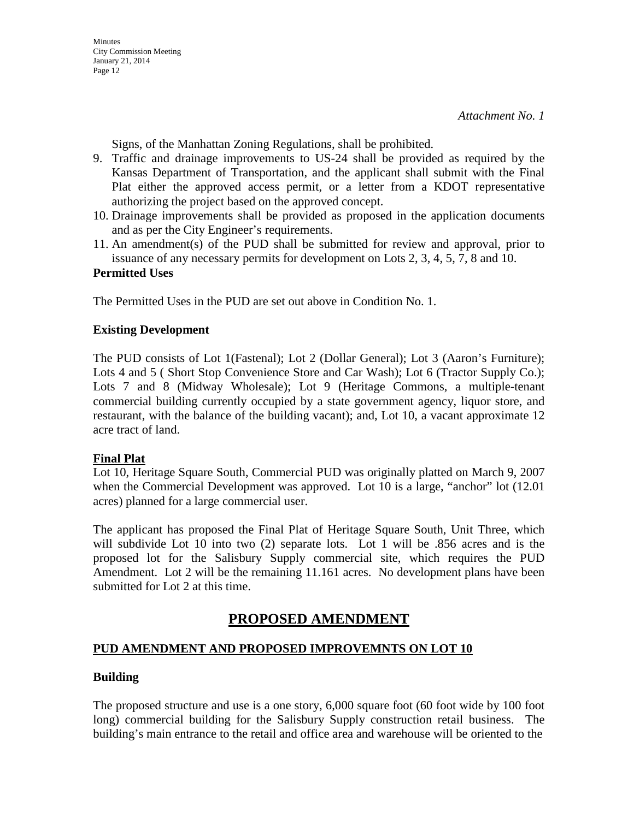Signs, of the Manhattan Zoning Regulations, shall be prohibited.

- 9. Traffic and drainage improvements to US-24 shall be provided as required by the Kansas Department of Transportation, and the applicant shall submit with the Final Plat either the approved access permit, or a letter from a KDOT representative authorizing the project based on the approved concept.
- 10. Drainage improvements shall be provided as proposed in the application documents and as per the City Engineer's requirements.
- 11. An amendment(s) of the PUD shall be submitted for review and approval, prior to issuance of any necessary permits for development on Lots 2, 3, 4, 5, 7, 8 and 10.

#### **Permitted Uses**

The Permitted Uses in the PUD are set out above in Condition No. 1.

#### **Existing Development**

The PUD consists of Lot 1(Fastenal); Lot 2 (Dollar General); Lot 3 (Aaron's Furniture); Lots 4 and 5 (Short Stop Convenience Store and Car Wash); Lot 6 (Tractor Supply Co.); Lots 7 and 8 (Midway Wholesale); Lot 9 (Heritage Commons, a multiple-tenant commercial building currently occupied by a state government agency, liquor store, and restaurant, with the balance of the building vacant); and, Lot 10, a vacant approximate 12 acre tract of land.

### **Final Plat**

Lot 10, Heritage Square South, Commercial PUD was originally platted on March 9, 2007 when the Commercial Development was approved. Lot 10 is a large, "anchor" lot (12.01 acres) planned for a large commercial user.

The applicant has proposed the Final Plat of Heritage Square South, Unit Three, which will subdivide Lot 10 into two (2) separate lots. Lot 1 will be .856 acres and is the proposed lot for the Salisbury Supply commercial site, which requires the PUD Amendment. Lot 2 will be the remaining 11.161 acres. No development plans have been submitted for Lot 2 at this time.

## **PROPOSED AMENDMENT**

### **PUD AMENDMENT AND PROPOSED IMPROVEMNTS ON LOT 10**

#### **Building**

The proposed structure and use is a one story, 6,000 square foot (60 foot wide by 100 foot long) commercial building for the Salisbury Supply construction retail business. The building's main entrance to the retail and office area and warehouse will be oriented to the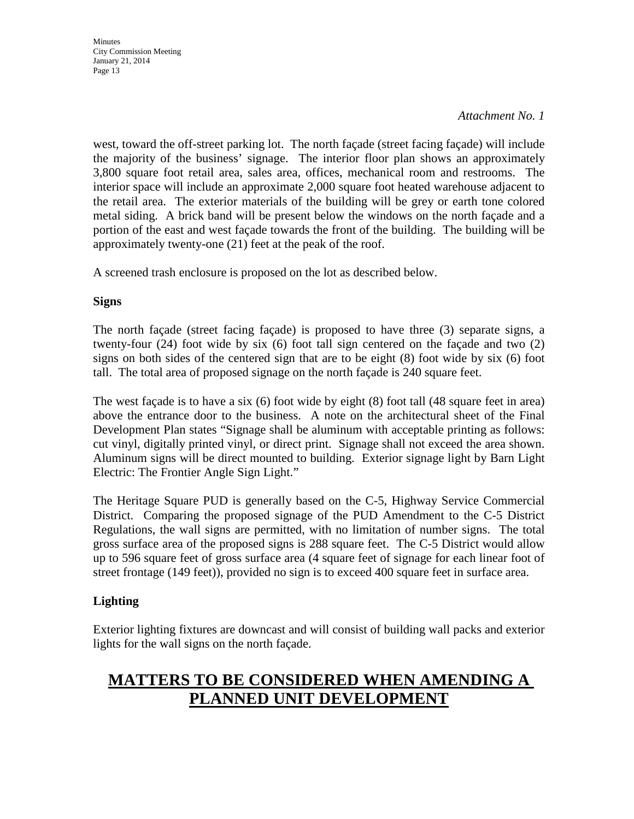#### *Attachment No. 1*

west, toward the off-street parking lot. The north façade (street facing façade) will include the majority of the business' signage. The interior floor plan shows an approximately 3,800 square foot retail area, sales area, offices, mechanical room and restrooms. The interior space will include an approximate 2,000 square foot heated warehouse adjacent to the retail area. The exterior materials of the building will be grey or earth tone colored metal siding. A brick band will be present below the windows on the north façade and a portion of the east and west façade towards the front of the building. The building will be approximately twenty-one (21) feet at the peak of the roof.

A screened trash enclosure is proposed on the lot as described below.

#### **Signs**

The north façade (street facing façade) is proposed to have three (3) separate signs, a twenty-four (24) foot wide by six (6) foot tall sign centered on the façade and two (2) signs on both sides of the centered sign that are to be eight (8) foot wide by six (6) foot tall. The total area of proposed signage on the north façade is 240 square feet.

The west façade is to have a six (6) foot wide by eight (8) foot tall (48 square feet in area) above the entrance door to the business. A note on the architectural sheet of the Final Development Plan states "Signage shall be aluminum with acceptable printing as follows: cut vinyl, digitally printed vinyl, or direct print. Signage shall not exceed the area shown. Aluminum signs will be direct mounted to building. Exterior signage light by Barn Light Electric: The Frontier Angle Sign Light."

The Heritage Square PUD is generally based on the C-5, Highway Service Commercial District. Comparing the proposed signage of the PUD Amendment to the C-5 District Regulations, the wall signs are permitted, with no limitation of number signs. The total gross surface area of the proposed signs is 288 square feet. The C-5 District would allow up to 596 square feet of gross surface area (4 square feet of signage for each linear foot of street frontage (149 feet)), provided no sign is to exceed 400 square feet in surface area.

### **Lighting**

Exterior lighting fixtures are downcast and will consist of building wall packs and exterior lights for the wall signs on the north façade.

# **MATTERS TO BE CONSIDERED WHEN AMENDING A PLANNED UNIT DEVELOPMENT**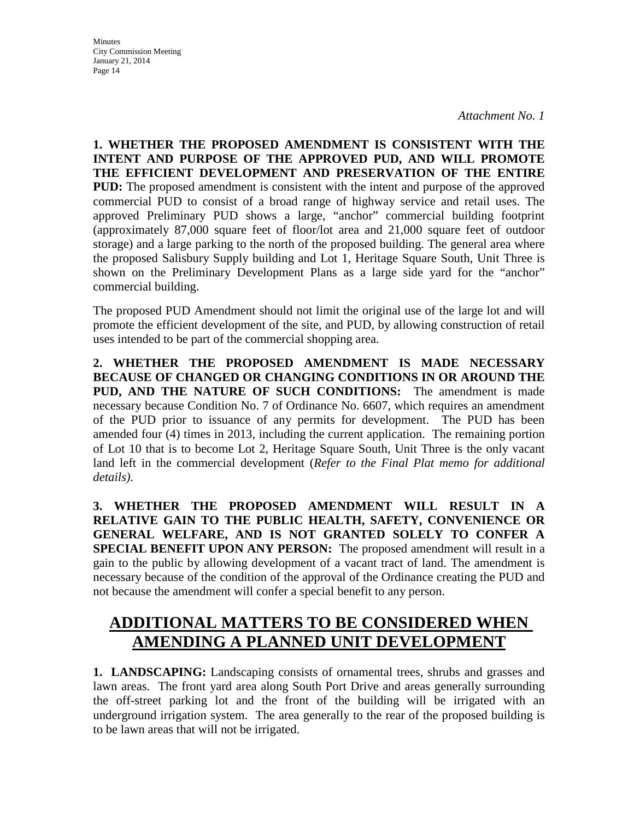**Minutes** City Commission Meeting January 21, 2014 Page 14

**1. WHETHER THE PROPOSED AMENDMENT IS CONSISTENT WITH THE INTENT AND PURPOSE OF THE APPROVED PUD, AND WILL PROMOTE THE EFFICIENT DEVELOPMENT AND PRESERVATION OF THE ENTIRE PUD:** The proposed amendment is consistent with the intent and purpose of the approved commercial PUD to consist of a broad range of highway service and retail uses. The approved Preliminary PUD shows a large, "anchor" commercial building footprint (approximately 87,000 square feet of floor/lot area and 21,000 square feet of outdoor storage) and a large parking to the north of the proposed building. The general area where the proposed Salisbury Supply building and Lot 1, Heritage Square South, Unit Three is shown on the Preliminary Development Plans as a large side yard for the "anchor" commercial building.

The proposed PUD Amendment should not limit the original use of the large lot and will promote the efficient development of the site, and PUD, by allowing construction of retail uses intended to be part of the commercial shopping area.

**2. WHETHER THE PROPOSED AMENDMENT IS MADE NECESSARY BECAUSE OF CHANGED OR CHANGING CONDITIONS IN OR AROUND THE PUD, AND THE NATURE OF SUCH CONDITIONS:** The amendment is made necessary because Condition No. 7 of Ordinance No. 6607, which requires an amendment of the PUD prior to issuance of any permits for development. The PUD has been amended four (4) times in 2013, including the current application. The remaining portion of Lot 10 that is to become Lot 2, Heritage Square South, Unit Three is the only vacant land left in the commercial development (*Refer to the Final Plat memo for additional details)*.

**3. WHETHER THE PROPOSED AMENDMENT WILL RESULT IN A RELATIVE GAIN TO THE PUBLIC HEALTH, SAFETY, CONVENIENCE OR GENERAL WELFARE, AND IS NOT GRANTED SOLELY TO CONFER A SPECIAL BENEFIT UPON ANY PERSON:** The proposed amendment will result in a gain to the public by allowing development of a vacant tract of land. The amendment is necessary because of the condition of the approval of the Ordinance creating the PUD and not because the amendment will confer a special benefit to any person.

# **ADDITIONAL MATTERS TO BE CONSIDERED WHEN AMENDING A PLANNED UNIT DEVELOPMENT**

**1. LANDSCAPING:** Landscaping consists of ornamental trees, shrubs and grasses and lawn areas. The front yard area along South Port Drive and areas generally surrounding the off-street parking lot and the front of the building will be irrigated with an underground irrigation system. The area generally to the rear of the proposed building is to be lawn areas that will not be irrigated.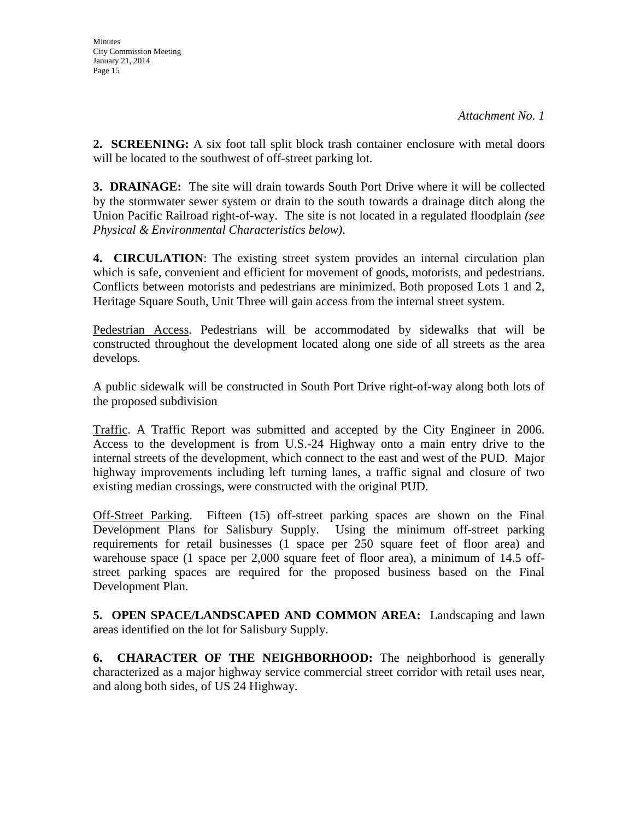**2. SCREENING:** A six foot tall split block trash container enclosure with metal doors will be located to the southwest of off-street parking lot.

**3. DRAINAGE:** The site will drain towards South Port Drive where it will be collected by the stormwater sewer system or drain to the south towards a drainage ditch along the Union Pacific Railroad right-of-way. The site is not located in a regulated floodplain *(see Physical & Environmental Characteristics below)*.

**4. CIRCULATION**: The existing street system provides an internal circulation plan which is safe, convenient and efficient for movement of goods, motorists, and pedestrians. Conflicts between motorists and pedestrians are minimized. Both proposed Lots 1 and 2, Heritage Square South, Unit Three will gain access from the internal street system.

Pedestrian Access. Pedestrians will be accommodated by sidewalks that will be constructed throughout the development located along one side of all streets as the area develops.

A public sidewalk will be constructed in South Port Drive right-of-way along both lots of the proposed subdivision

Traffic. A Traffic Report was submitted and accepted by the City Engineer in 2006. Access to the development is from U.S.-24 Highway onto a main entry drive to the internal streets of the development, which connect to the east and west of the PUD. Major highway improvements including left turning lanes, a traffic signal and closure of two existing median crossings, were constructed with the original PUD.

Off-Street Parking. Fifteen (15) off-street parking spaces are shown on the Final Development Plans for Salisbury Supply. Using the minimum off-street parking requirements for retail businesses (1 space per 250 square feet of floor area) and warehouse space (1 space per 2,000 square feet of floor area), a minimum of 14.5 offstreet parking spaces are required for the proposed business based on the Final Development Plan.

**5. OPEN SPACE/LANDSCAPED AND COMMON AREA:** Landscaping and lawn areas identified on the lot for Salisbury Supply.

**6. CHARACTER OF THE NEIGHBORHOOD:** The neighborhood is generally characterized as a major highway service commercial street corridor with retail uses near, and along both sides, of US 24 Highway.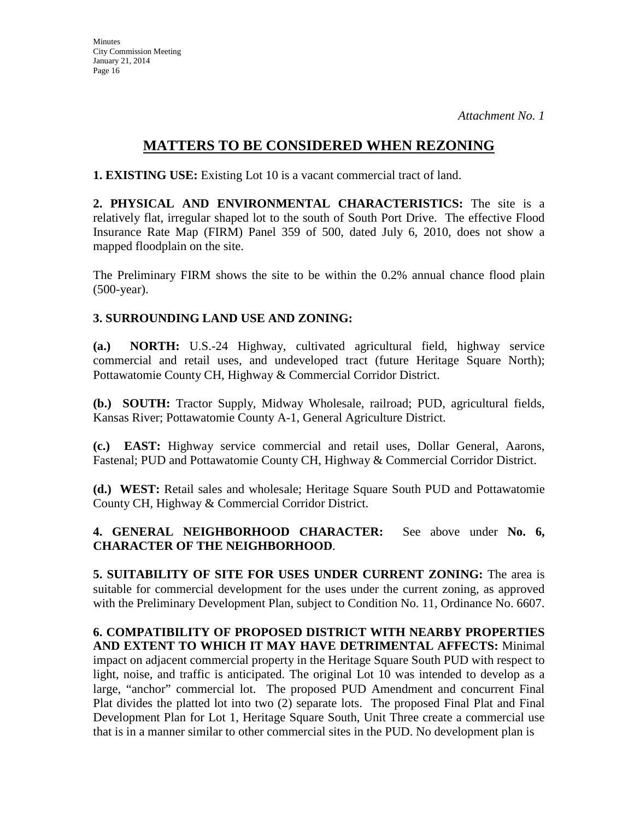### **MATTERS TO BE CONSIDERED WHEN REZONING**

**1. EXISTING USE:** Existing Lot 10 is a vacant commercial tract of land.

**2. PHYSICAL AND ENVIRONMENTAL CHARACTERISTICS:** The site is a relatively flat, irregular shaped lot to the south of South Port Drive. The effective Flood Insurance Rate Map (FIRM) Panel 359 of 500, dated July 6, 2010, does not show a mapped floodplain on the site.

The Preliminary FIRM shows the site to be within the 0.2% annual chance flood plain (500-year).

### **3. SURROUNDING LAND USE AND ZONING:**

**(a.) NORTH:** U.S.-24 Highway, cultivated agricultural field, highway service commercial and retail uses, and undeveloped tract (future Heritage Square North); Pottawatomie County CH, Highway & Commercial Corridor District.

**(b.) SOUTH:** Tractor Supply, Midway Wholesale, railroad; PUD, agricultural fields, Kansas River; Pottawatomie County A-1, General Agriculture District.

**(c.) EAST:** Highway service commercial and retail uses, Dollar General, Aarons, Fastenal; PUD and Pottawatomie County CH, Highway & Commercial Corridor District.

**(d.) WEST:** Retail sales and wholesale; Heritage Square South PUD and Pottawatomie County CH, Highway & Commercial Corridor District.

**4. GENERAL NEIGHBORHOOD CHARACTER:** See above under **No. 6, CHARACTER OF THE NEIGHBORHOOD**.

**5. SUITABILITY OF SITE FOR USES UNDER CURRENT ZONING:** The area is suitable for commercial development for the uses under the current zoning, as approved with the Preliminary Development Plan, subject to Condition No. 11, Ordinance No. 6607.

**6. COMPATIBILITY OF PROPOSED DISTRICT WITH NEARBY PROPERTIES AND EXTENT TO WHICH IT MAY HAVE DETRIMENTAL AFFECTS:** Minimal impact on adjacent commercial property in the Heritage Square South PUD with respect to light, noise, and traffic is anticipated. The original Lot 10 was intended to develop as a large, "anchor" commercial lot. The proposed PUD Amendment and concurrent Final Plat divides the platted lot into two (2) separate lots. The proposed Final Plat and Final Development Plan for Lot 1, Heritage Square South, Unit Three create a commercial use that is in a manner similar to other commercial sites in the PUD. No development plan is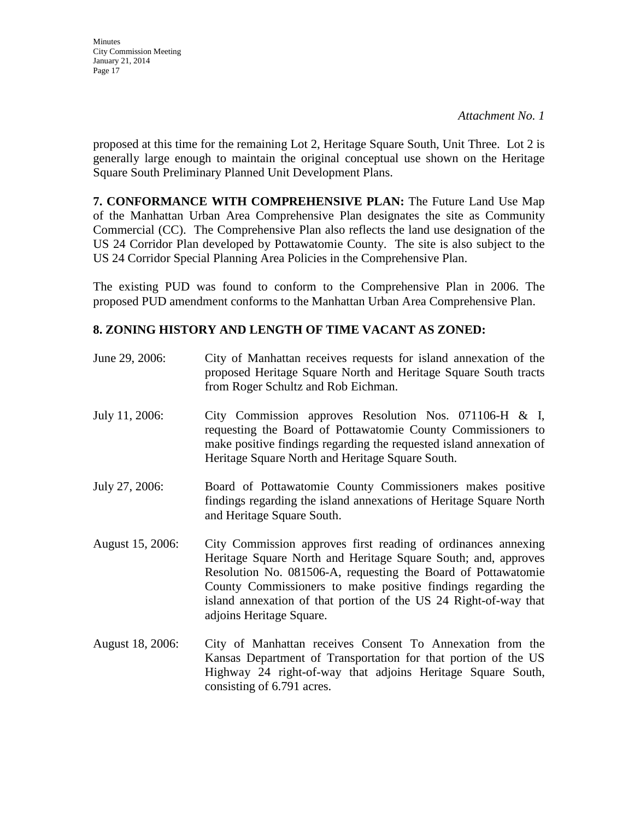**Minutes** City Commission Meeting January 21, 2014 Page 17

proposed at this time for the remaining Lot 2, Heritage Square South, Unit Three. Lot 2 is generally large enough to maintain the original conceptual use shown on the Heritage Square South Preliminary Planned Unit Development Plans.

**7. CONFORMANCE WITH COMPREHENSIVE PLAN:** The Future Land Use Map of the Manhattan Urban Area Comprehensive Plan designates the site as Community Commercial (CC). The Comprehensive Plan also reflects the land use designation of the US 24 Corridor Plan developed by Pottawatomie County. The site is also subject to the US 24 Corridor Special Planning Area Policies in the Comprehensive Plan.

The existing PUD was found to conform to the Comprehensive Plan in 2006. The proposed PUD amendment conforms to the Manhattan Urban Area Comprehensive Plan.

### **8. ZONING HISTORY AND LENGTH OF TIME VACANT AS ZONED:**

| June 29, 2006:   | City of Manhattan receives requests for island annexation of the<br>proposed Heritage Square North and Heritage Square South tracts<br>from Roger Schultz and Rob Eichman.                                                                                                                                                                                       |
|------------------|------------------------------------------------------------------------------------------------------------------------------------------------------------------------------------------------------------------------------------------------------------------------------------------------------------------------------------------------------------------|
| July 11, 2006:   | City Commission approves Resolution Nos. 071106-H & I,<br>requesting the Board of Pottawatomie County Commissioners to<br>make positive findings regarding the requested island annexation of<br>Heritage Square North and Heritage Square South.                                                                                                                |
| July 27, 2006:   | Board of Pottawatomie County Commissioners makes positive<br>findings regarding the island annexations of Heritage Square North<br>and Heritage Square South.                                                                                                                                                                                                    |
| August 15, 2006: | City Commission approves first reading of ordinances annexing<br>Heritage Square North and Heritage Square South; and, approves<br>Resolution No. 081506-A, requesting the Board of Pottawatomie<br>County Commissioners to make positive findings regarding the<br>island annexation of that portion of the US 24 Right-of-way that<br>adjoins Heritage Square. |
| August 18, 2006: | City of Manhattan receives Consent To Annexation from the<br>Kansas Department of Transportation for that portion of the US<br>Highway 24 right-of-way that adjoins Heritage Square South,<br>consisting of 6.791 acres.                                                                                                                                         |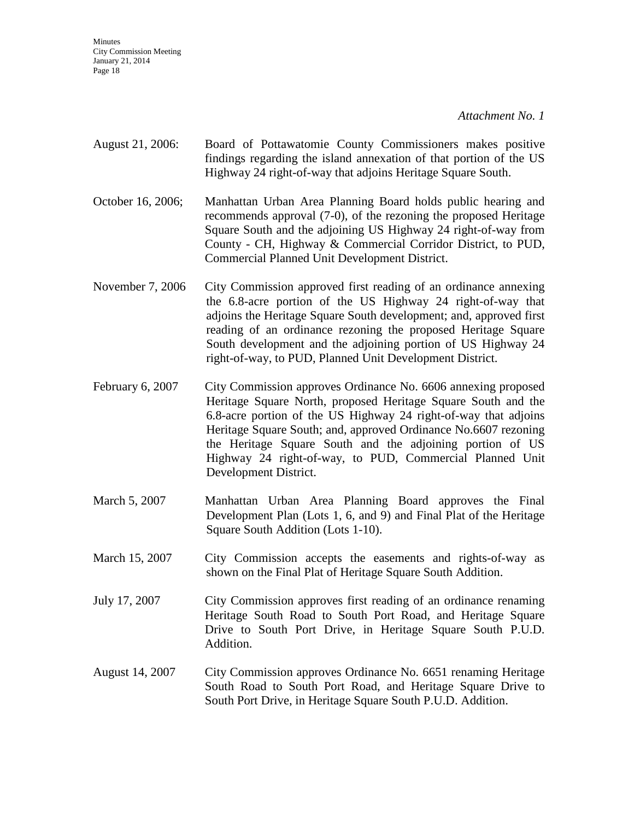*Attachment No. 1*

- August 21, 2006: Board of Pottawatomie County Commissioners makes positive findings regarding the island annexation of that portion of the US Highway 24 right-of-way that adjoins Heritage Square South.
- October 16, 2006; Manhattan Urban Area Planning Board holds public hearing and recommends approval (7-0), of the rezoning the proposed Heritage Square South and the adjoining US Highway 24 right-of-way from County - CH, Highway & Commercial Corridor District, to PUD, Commercial Planned Unit Development District.
- November 7, 2006 City Commission approved first reading of an ordinance annexing the 6.8-acre portion of the US Highway 24 right-of-way that adjoins the Heritage Square South development; and, approved first reading of an ordinance rezoning the proposed Heritage Square South development and the adjoining portion of US Highway 24 right-of-way, to PUD, Planned Unit Development District.
- February 6, 2007 City Commission approves Ordinance No. 6606 annexing proposed Heritage Square North, proposed Heritage Square South and the 6.8-acre portion of the US Highway 24 right-of-way that adjoins Heritage Square South; and, approved Ordinance No.6607 rezoning the Heritage Square South and the adjoining portion of US Highway 24 right-of-way, to PUD, Commercial Planned Unit Development District.
- March 5, 2007 Manhattan Urban Area Planning Board approves the Final Development Plan (Lots 1, 6, and 9) and Final Plat of the Heritage Square South Addition (Lots 1-10).
- March 15, 2007 City Commission accepts the easements and rights-of-way as shown on the Final Plat of Heritage Square South Addition.
- July 17, 2007 City Commission approves first reading of an ordinance renaming Heritage South Road to South Port Road, and Heritage Square Drive to South Port Drive, in Heritage Square South P.U.D. Addition.
- August 14, 2007 City Commission approves Ordinance No. 6651 renaming Heritage South Road to South Port Road, and Heritage Square Drive to South Port Drive, in Heritage Square South P.U.D. Addition.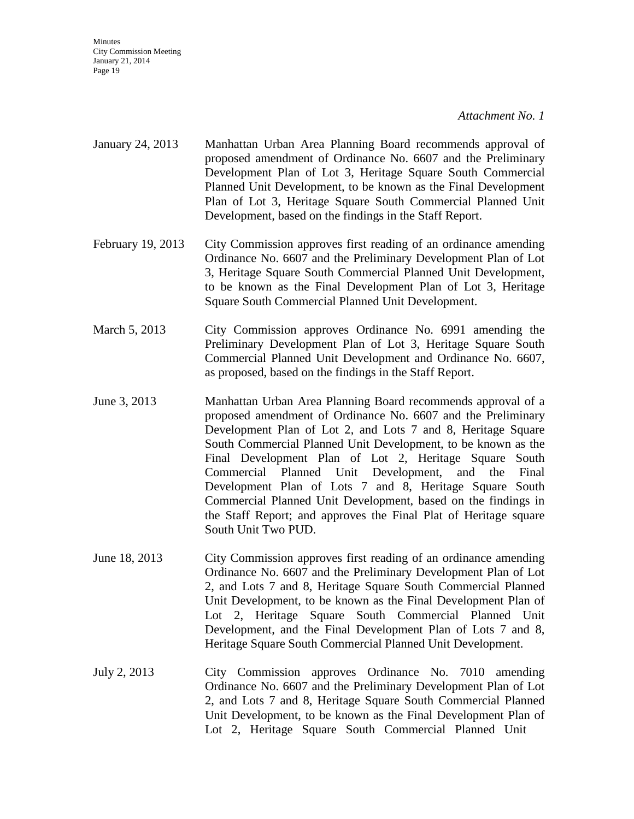#### *Attachment No. 1*

- January 24, 2013 Manhattan Urban Area Planning Board recommends approval of proposed amendment of Ordinance No. 6607 and the Preliminary Development Plan of Lot 3, Heritage Square South Commercial Planned Unit Development, to be known as the Final Development Plan of Lot 3, Heritage Square South Commercial Planned Unit Development, based on the findings in the Staff Report.
- February 19, 2013 City Commission approves first reading of an ordinance amending Ordinance No. 6607 and the Preliminary Development Plan of Lot 3, Heritage Square South Commercial Planned Unit Development, to be known as the Final Development Plan of Lot 3, Heritage Square South Commercial Planned Unit Development.
- March 5, 2013 City Commission approves Ordinance No. 6991 amending the Preliminary Development Plan of Lot 3, Heritage Square South Commercial Planned Unit Development and Ordinance No. 6607, as proposed, based on the findings in the Staff Report.
- June 3, 2013 Manhattan Urban Area Planning Board recommends approval of a proposed amendment of Ordinance No. 6607 and the Preliminary Development Plan of Lot 2, and Lots 7 and 8, Heritage Square South Commercial Planned Unit Development, to be known as the Final Development Plan of Lot 2, Heritage Square South Commercial Planned Unit Development, and the Final Development Plan of Lots 7 and 8, Heritage Square South Commercial Planned Unit Development, based on the findings in the Staff Report; and approves the Final Plat of Heritage square South Unit Two PUD.
- June 18, 2013 City Commission approves first reading of an ordinance amending Ordinance No. 6607 and the Preliminary Development Plan of Lot 2, and Lots 7 and 8, Heritage Square South Commercial Planned Unit Development, to be known as the Final Development Plan of Lot 2, Heritage Square South Commercial Planned Unit Development, and the Final Development Plan of Lots 7 and 8, Heritage Square South Commercial Planned Unit Development.
- July 2, 2013 City Commission approves Ordinance No. 7010 amending Ordinance No. 6607 and the Preliminary Development Plan of Lot 2, and Lots 7 and 8, Heritage Square South Commercial Planned Unit Development, to be known as the Final Development Plan of Lot 2, Heritage Square South Commercial Planned Unit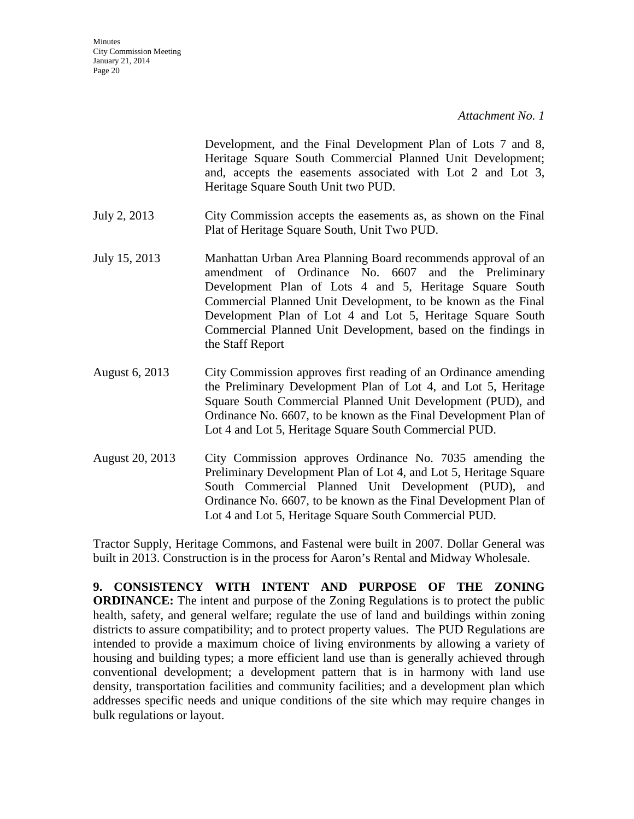Development, and the Final Development Plan of Lots 7 and 8, Heritage Square South Commercial Planned Unit Development; and, accepts the easements associated with Lot 2 and Lot 3, Heritage Square South Unit two PUD.

- July 2, 2013 City Commission accepts the easements as, as shown on the Final Plat of Heritage Square South, Unit Two PUD.
- July 15, 2013 Manhattan Urban Area Planning Board recommends approval of an amendment of Ordinance No. 6607 and the Preliminary Development Plan of Lots 4 and 5, Heritage Square South Commercial Planned Unit Development, to be known as the Final Development Plan of Lot 4 and Lot 5, Heritage Square South Commercial Planned Unit Development, based on the findings in the Staff Report
- August 6, 2013 City Commission approves first reading of an Ordinance amending the Preliminary Development Plan of Lot 4, and Lot 5, Heritage Square South Commercial Planned Unit Development (PUD), and Ordinance No. 6607, to be known as the Final Development Plan of Lot 4 and Lot 5, Heritage Square South Commercial PUD.
- August 20, 2013 City Commission approves Ordinance No. 7035 amending the Preliminary Development Plan of Lot 4, and Lot 5, Heritage Square South Commercial Planned Unit Development (PUD), and Ordinance No. 6607, to be known as the Final Development Plan of Lot 4 and Lot 5, Heritage Square South Commercial PUD.

Tractor Supply, Heritage Commons, and Fastenal were built in 2007. Dollar General was built in 2013. Construction is in the process for Aaron's Rental and Midway Wholesale.

**9. CONSISTENCY WITH INTENT AND PURPOSE OF THE ZONING ORDINANCE:** The intent and purpose of the Zoning Regulations is to protect the public health, safety, and general welfare; regulate the use of land and buildings within zoning districts to assure compatibility; and to protect property values. The PUD Regulations are intended to provide a maximum choice of living environments by allowing a variety of housing and building types; a more efficient land use than is generally achieved through conventional development; a development pattern that is in harmony with land use density, transportation facilities and community facilities; and a development plan which addresses specific needs and unique conditions of the site which may require changes in bulk regulations or layout.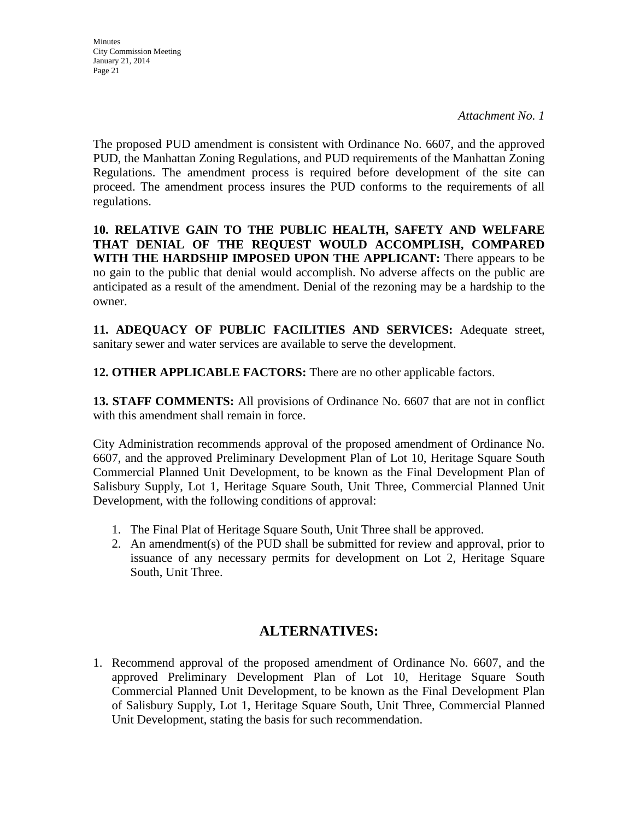*Attachment No. 1*

The proposed PUD amendment is consistent with Ordinance No. 6607, and the approved PUD, the Manhattan Zoning Regulations, and PUD requirements of the Manhattan Zoning Regulations. The amendment process is required before development of the site can proceed. The amendment process insures the PUD conforms to the requirements of all regulations.

**10. RELATIVE GAIN TO THE PUBLIC HEALTH, SAFETY AND WELFARE THAT DENIAL OF THE REQUEST WOULD ACCOMPLISH, COMPARED WITH THE HARDSHIP IMPOSED UPON THE APPLICANT:** There appears to be no gain to the public that denial would accomplish. No adverse affects on the public are anticipated as a result of the amendment. Denial of the rezoning may be a hardship to the owner.

**11. ADEQUACY OF PUBLIC FACILITIES AND SERVICES:** Adequate street, sanitary sewer and water services are available to serve the development.

**12. OTHER APPLICABLE FACTORS:** There are no other applicable factors.

**13. STAFF COMMENTS:** All provisions of Ordinance No. 6607 that are not in conflict with this amendment shall remain in force.

City Administration recommends approval of the proposed amendment of Ordinance No. 6607, and the approved Preliminary Development Plan of Lot 10, Heritage Square South Commercial Planned Unit Development, to be known as the Final Development Plan of Salisbury Supply, Lot 1, Heritage Square South, Unit Three, Commercial Planned Unit Development, with the following conditions of approval:

- 1. The Final Plat of Heritage Square South, Unit Three shall be approved.
- 2. An amendment(s) of the PUD shall be submitted for review and approval, prior to issuance of any necessary permits for development on Lot 2, Heritage Square South, Unit Three.

## **ALTERNATIVES:**

1. Recommend approval of the proposed amendment of Ordinance No. 6607, and the approved Preliminary Development Plan of Lot 10, Heritage Square South Commercial Planned Unit Development, to be known as the Final Development Plan of Salisbury Supply, Lot 1, Heritage Square South, Unit Three, Commercial Planned Unit Development, stating the basis for such recommendation.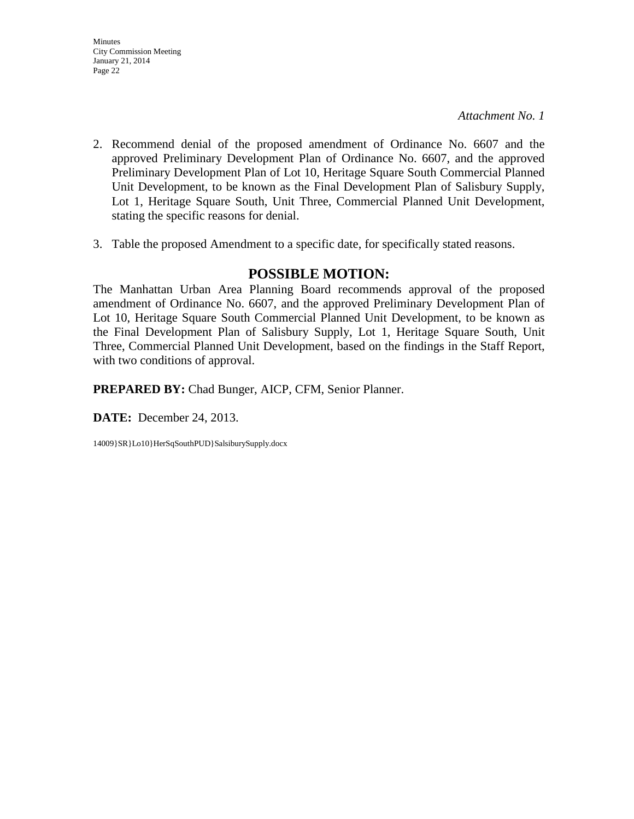- **Minutes** City Commission Meeting January 21, 2014 Page 22
- 2. Recommend denial of the proposed amendment of Ordinance No. 6607 and the approved Preliminary Development Plan of Ordinance No. 6607, and the approved Preliminary Development Plan of Lot 10, Heritage Square South Commercial Planned Unit Development, to be known as the Final Development Plan of Salisbury Supply, Lot 1, Heritage Square South, Unit Three, Commercial Planned Unit Development, stating the specific reasons for denial.
- 3. Table the proposed Amendment to a specific date, for specifically stated reasons.

### **POSSIBLE MOTION:**

The Manhattan Urban Area Planning Board recommends approval of the proposed amendment of Ordinance No. 6607, and the approved Preliminary Development Plan of Lot 10, Heritage Square South Commercial Planned Unit Development, to be known as the Final Development Plan of Salisbury Supply, Lot 1, Heritage Square South, Unit Three, Commercial Planned Unit Development, based on the findings in the Staff Report, with two conditions of approval.

**PREPARED BY:** Chad Bunger, AICP, CFM, Senior Planner.

**DATE:** December 24, 2013.

14009}SR}Lo10}HerSqSouthPUD}SalsiburySupply.docx